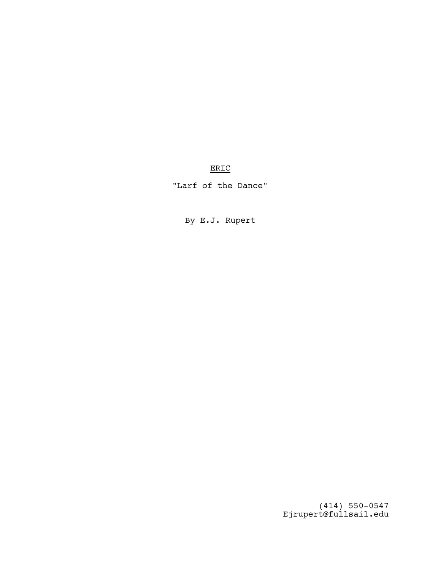# ERIC

"Larf of the Dance"

By E.J. Rupert

(414) 550-0547 Ejrupert@fullsail.edu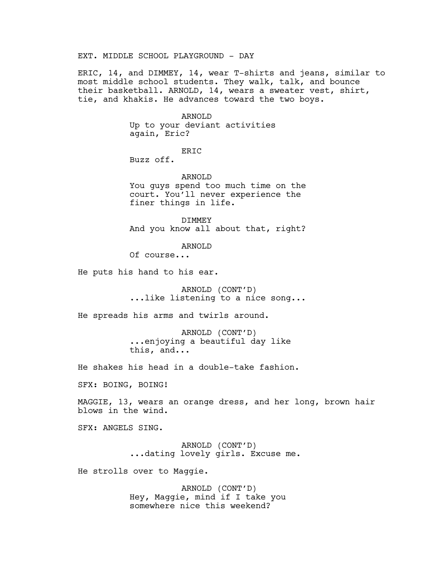## EXT. MIDDLE SCHOOL PLAYGROUND - DAY

ERIC, 14, and DIMMEY, 14, wear T-shirts and jeans, similar to most middle school students. They walk, talk, and bounce their basketball. ARNOLD, 14, wears a sweater vest, shirt, tie, and khakis. He advances toward the two boys.

> ARNOLD Up to your deviant activities again, Eric?

> > ERIC

Buzz off.

ARNOLD

You guys spend too much time on the court. You'll never experience the finer things in life.

DIMMEY And you know all about that, right?

ARNOLD

Of course...

He puts his hand to his ear.

ARNOLD (CONT'D) ...like listening to a nice song...

He spreads his arms and twirls around.

ARNOLD (CONT'D) ...enjoying a beautiful day like this, and...

He shakes his head in a double-take fashion.

SFX: BOING, BOING!

MAGGIE, 13, wears an orange dress, and her long, brown hair blows in the wind.

SFX: ANGELS SING.

ARNOLD (CONT'D) ...dating lovely girls. Excuse me.

He strolls over to Maggie.

ARNOLD (CONT'D) Hey, Maggie, mind if I take you somewhere nice this weekend?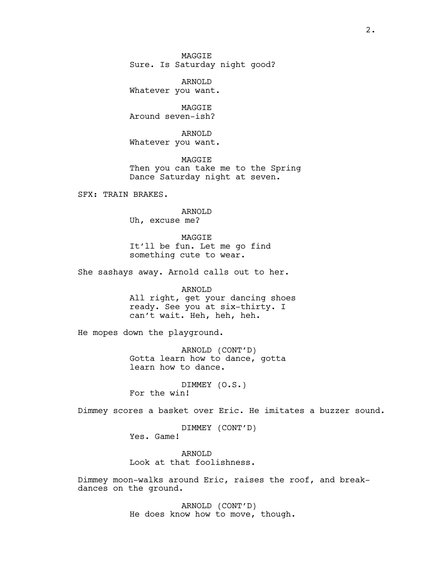**MAGGTE** Sure. Is Saturday night good?

ARNOLD Whatever you want.

MAGGIE Around seven-ish?

ARNOLD Whatever you want.

MAGGIE Then you can take me to the Spring Dance Saturday night at seven.

SFX: TRAIN BRAKES.

ARNOLD Uh, excuse me?

MAGGIE It'll be fun. Let me go find something cute to wear.

She sashays away. Arnold calls out to her.

ARNOLD All right, get your dancing shoes ready. See you at six-thirty. I can't wait. Heh, heh, heh.

He mopes down the playground.

ARNOLD (CONT'D) Gotta learn how to dance, gotta learn how to dance.

DIMMEY (O.S.) For the win!

Dimmey scores a basket over Eric. He imitates a buzzer sound.

DIMMEY (CONT'D) Yes. Game!

ARNOLD Look at that foolishness.

Dimmey moon-walks around Eric, raises the roof, and breakdances on the ground.

> ARNOLD (CONT'D) He does know how to move, though.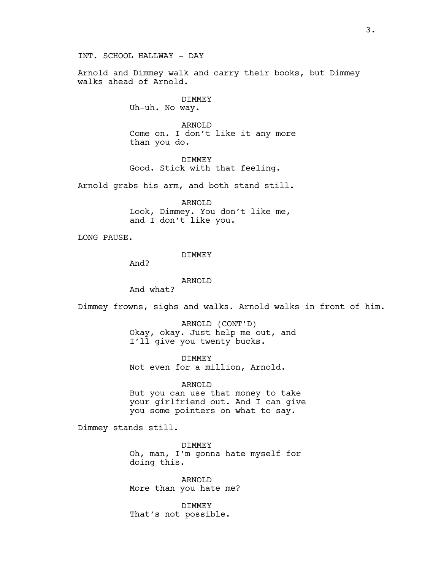INT. SCHOOL HALLWAY - DAY

Arnold and Dimmey walk and carry their books, but Dimmey walks ahead of Arnold.

> DIMMEY Uh-uh. No way.

ARNOLD Come on. I don't like it any more than you do.

DIMMEY Good. Stick with that feeling.

Arnold grabs his arm, and both stand still.

ARNOLD Look, Dimmey. You don't like me, and I don't like you.

LONG PAUSE.

DIMMEY

And?

ARNOLD

And what?

Dimmey frowns, sighs and walks. Arnold walks in front of him.

ARNOLD (CONT'D) Okay, okay. Just help me out, and I'll give you twenty bucks.

DIMMEY Not even for a million, Arnold.

ARNOLD But you can use that money to take your girlfriend out. And I can give you some pointers on what to say.

Dimmey stands still.

DIMMEY Oh, man, I'm gonna hate myself for doing this.

ARNOLD More than you hate me?

DIMMEY That's not possible.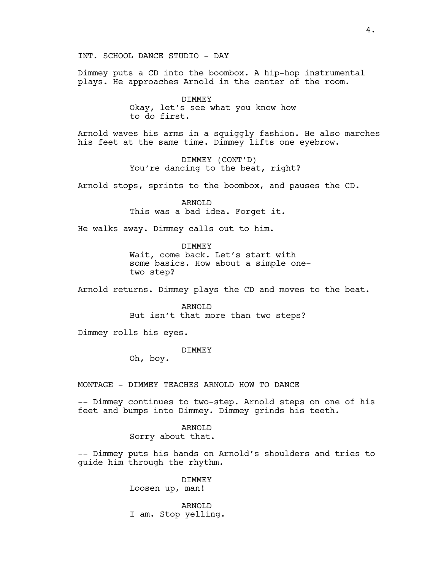Dimmey puts a CD into the boombox. A hip-hop instrumental plays. He approaches Arnold in the center of the room.

> DIMMEY Okay, let's see what you know how to do first.

Arnold waves his arms in a squiggly fashion. He also marches his feet at the same time. Dimmey lifts one eyebrow.

> DIMMEY (CONT'D) You're dancing to the beat, right?

Arnold stops, sprints to the boombox, and pauses the CD.

ARNOLD This was a bad idea. Forget it.

He walks away. Dimmey calls out to him.

DIMMEY

Wait, come back. Let's start with some basics. How about a simple onetwo step?

Arnold returns. Dimmey plays the CD and moves to the beat.

ARNOLD But isn't that more than two steps?

Dimmey rolls his eyes.

### DIMMEY

Oh, boy.

MONTAGE - DIMMEY TEACHES ARNOLD HOW TO DANCE

-- Dimmey continues to two-step. Arnold steps on one of his feet and bumps into Dimmey. Dimmey grinds his teeth.

> ARNOLD Sorry about that.

-- Dimmey puts his hands on Arnold's shoulders and tries to guide him through the rhythm.

> DIMMEY Loosen up, man!

ARNOLD I am. Stop yelling.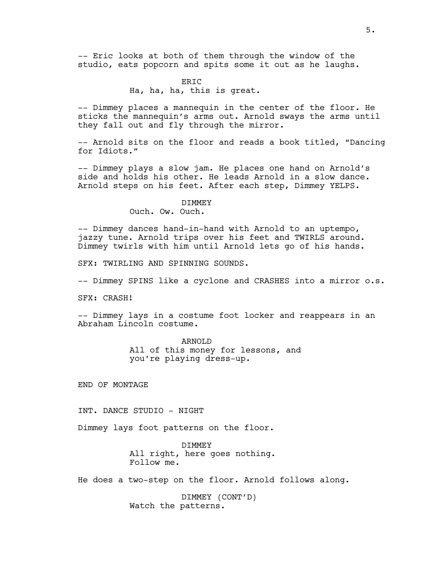-- Eric looks at both of them through the window of the studio, eats popcorn and spits some it out as he laughs.

## ERIC Ha, ha, ha, this is great.

-- Dimmey places a mannequin in the center of the floor. He sticks the mannequin's arms out. Arnold sways the arms until they fall out and fly through the mirror.

-- Arnold sits on the floor and reads a book titled, "Dancing for Idiots."

-- Dimmey plays a slow jam. He places one hand on Arnold's side and holds his other. He leads Arnold in a slow dance. Arnold steps on his feet. After each step, Dimmey YELPS.

#### DIMMEY

Ouch. Ow. Ouch.

-- Dimmey dances hand-in-hand with Arnold to an uptempo, jazzy tune. Arnold trips over his feet and TWIRLS around. Dimmey twirls with him until Arnold lets go of his hands.

SFX: TWIRLING AND SPINNING SOUNDS.

-- Dimmey SPINS like a cyclone and CRASHES into a mirror o.s.

SFX: CRASH!

-- Dimmey lays in a costume foot locker and reappears in an Abraham Lincoln costume.

> ARNOLD All of this money for lessons, and you're playing dress-up.

END OF MONTAGE

INT. DANCE STUDIO - NIGHT

Dimmey lays foot patterns on the floor.

DIMMEY All right, here goes nothing. Follow me.

He does a two-step on the floor. Arnold follows along.

DIMMEY (CONT'D) Watch the patterns.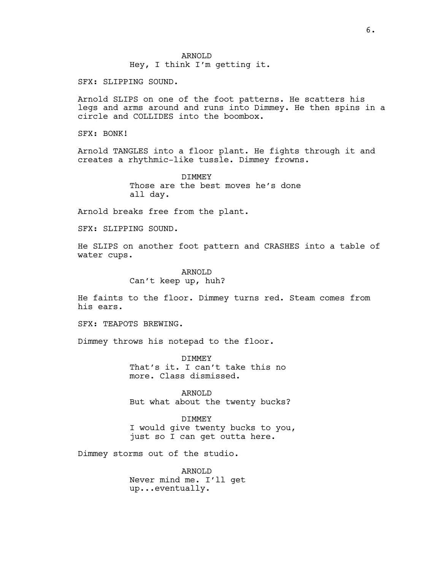ARNOLD Hey, I think I'm getting it.

SFX: SLIPPING SOUND.

Arnold SLIPS on one of the foot patterns. He scatters his legs and arms around and runs into Dimmey. He then spins in a circle and COLLIDES into the boombox.

SFX: BONK!

Arnold TANGLES into a floor plant. He fights through it and creates a rhythmic-like tussle. Dimmey frowns.

> DIMMEY Those are the best moves he's done all day.

Arnold breaks free from the plant.

SFX: SLIPPING SOUND.

He SLIPS on another foot pattern and CRASHES into a table of water cups.

> ARNOLD Can't keep up, huh?

He faints to the floor. Dimmey turns red. Steam comes from his ears.

SFX: TEAPOTS BREWING.

Dimmey throws his notepad to the floor.

DIMMEY That's it. I can't take this no more. Class dismissed.

ARNOLD But what about the twenty bucks?

**DIMMEY** I would give twenty bucks to you, just so I can get outta here.

Dimmey storms out of the studio.

ARNOLD Never mind me. I'll get up...eventually.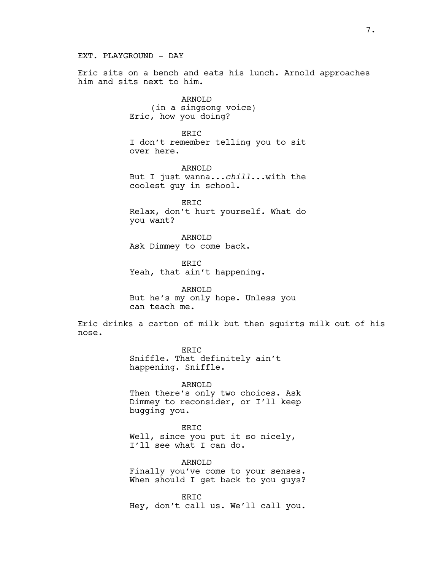EXT. PLAYGROUND - DAY

Eric sits on a bench and eats his lunch. Arnold approaches him and sits next to him.

> ARNOLD (in a singsong voice) Eric, how you doing?

ERIC I don't remember telling you to sit over here.

ARNOLD But I just wanna...*chill*...with the coolest guy in school.

ERIC Relax, don't hurt yourself. What do you want?

ARNOLD Ask Dimmey to come back.

**ERTC** Yeah, that ain't happening.

ARNOLD But he's my only hope. Unless you can teach me.

Eric drinks a carton of milk but then squirts milk out of his nose.

> ERIC Sniffle. That definitely ain't happening. Sniffle.

ARNOLD Then there's only two choices. Ask Dimmey to reconsider, or I'll keep bugging you.

ERIC Well, since you put it so nicely, I'll see what I can do.

ARNOLD Finally you've come to your senses. When should I get back to you guys?

ERIC Hey, don't call us. We'll call you.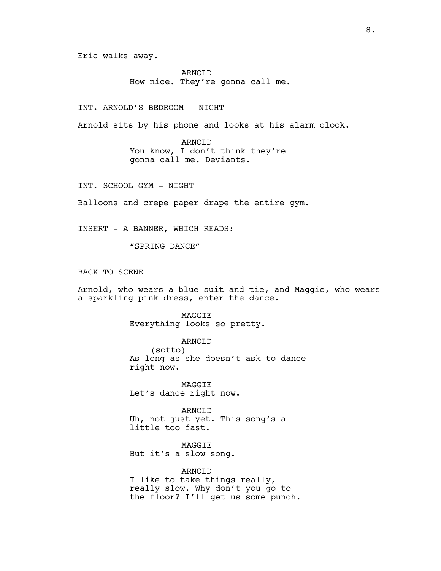Eric walks away.

ARNOLD How nice. They're gonna call me.

INT. ARNOLD'S BEDROOM - NIGHT

Arnold sits by his phone and looks at his alarm clock.

ARNOLD You know, I don't think they're gonna call me. Deviants.

INT. SCHOOL GYM - NIGHT

Balloons and crepe paper drape the entire gym.

INSERT - A BANNER, WHICH READS:

"SPRING DANCE"

BACK TO SCENE

Arnold, who wears a blue suit and tie, and Maggie, who wears a sparkling pink dress, enter the dance.

> MAGGIE Everything looks so pretty.

ARNOLD (sotto) As long as she doesn't ask to dance right now.

MAGGIE Let's dance right now.

ARNOLD Uh, not just yet. This song's a little too fast.

MAGGIE But it's a slow song.

ARNOLD I like to take things really, really slow. Why don't you go to the floor? I'll get us some punch.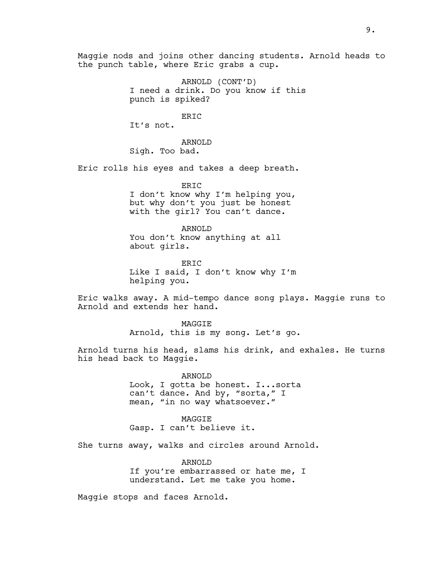Maggie nods and joins other dancing students. Arnold heads to the punch table, where Eric grabs a cup.

> ARNOLD (CONT'D) I need a drink. Do you know if this punch is spiked?

> > ERIC

It's not.

ARNOLD Sigh. Too bad.

Eric rolls his eyes and takes a deep breath.

ERIC I don't know why I'm helping you, but why don't you just be honest with the girl? You can't dance.

ARNOLD You don't know anything at all about girls.

**ERTC** Like I said, I don't know why I'm helping you.

Eric walks away. A mid-tempo dance song plays. Maggie runs to Arnold and extends her hand.

> **MAGGTE** Arnold, this is my song. Let's go.

Arnold turns his head, slams his drink, and exhales. He turns his head back to Maggie.

> ARNOLD Look, I gotta be honest. I...sorta can't dance. And by, "sorta," I mean, "in no way whatsoever."

MAGGIE Gasp. I can't believe it.

She turns away, walks and circles around Arnold.

ARNOLD If you're embarrassed or hate me, I understand. Let me take you home.

Maggie stops and faces Arnold.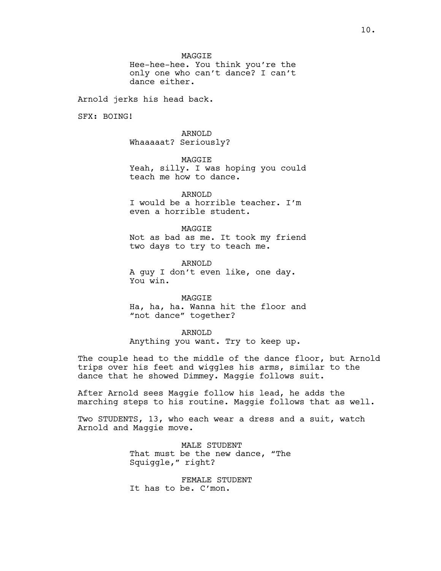**MAGGTE** 

Hee-hee-hee. You think you're the only one who can't dance? I can't dance either.

Arnold jerks his head back.

SFX: BOING!

ARNOLD Whaaaaat? Seriously?

MAGGIE Yeah, silly. I was hoping you could teach me how to dance.

ARNOLD I would be a horrible teacher. I'm even a horrible student.

**MAGGTE** Not as bad as me. It took my friend two days to try to teach me.

ARNOLD A guy I don't even like, one day. You win.

MAGGIE

Ha, ha, ha. Wanna hit the floor and "not dance" together?

ARNOLD

Anything you want. Try to keep up.

The couple head to the middle of the dance floor, but Arnold trips over his feet and wiggles his arms, similar to the dance that he showed Dimmey. Maggie follows suit.

After Arnold sees Maggie follow his lead, he adds the marching steps to his routine. Maggie follows that as well.

Two STUDENTS, 13, who each wear a dress and a suit, watch Arnold and Maggie move.

> MALE STUDENT That must be the new dance, "The Squiggle," right?

FEMALE STUDENT It has to be. C'mon.